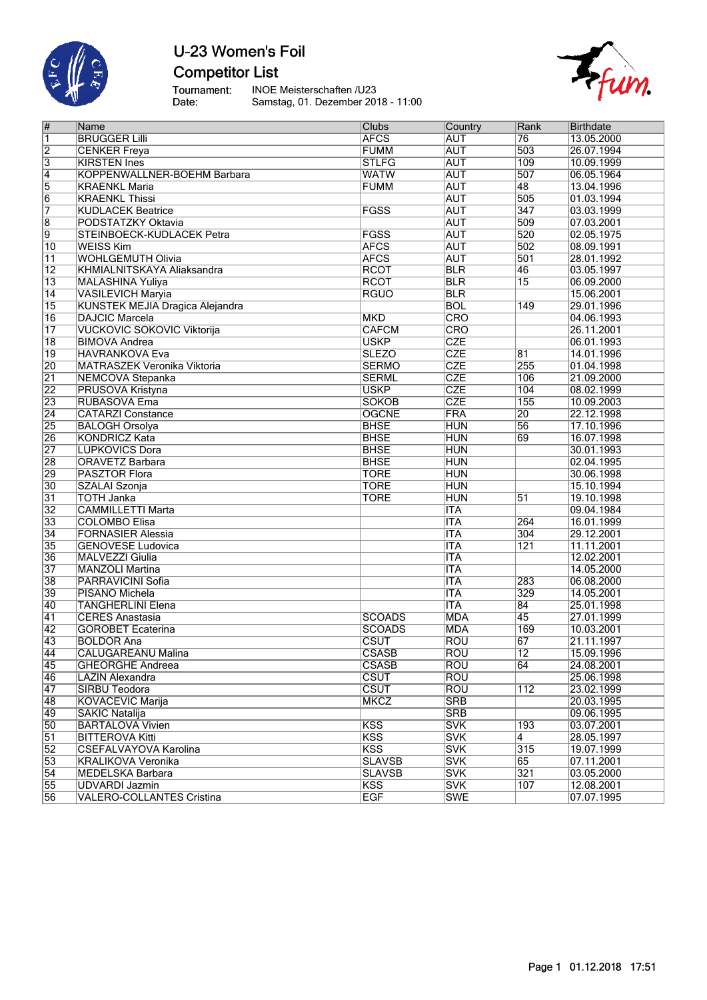

# U-23 Women's Foil **Competitor List**

Tournament:<br>Date:

INOE Meisterschaften /U23 Samstag, 01. Dezember 2018 - 11:00



| #                       | Name                                   | Clubs         | Country    | Rank             | <b>Birthdate</b> |
|-------------------------|----------------------------------------|---------------|------------|------------------|------------------|
| $\overline{\mathbf{1}}$ | <b>BRUGGER Lilli</b>                   | <b>AFCS</b>   | <b>AUT</b> | 76               | 13.05.2000       |
| $\overline{2}$          | <b>CENKER Freya</b>                    | <b>FUMM</b>   | <b>AUT</b> | 503              | 26.07.1994       |
| $\overline{3}$          | <b>KIRSTEN Ines</b>                    | <b>STLFG</b>  | <b>AUT</b> | 109              | 10.09.1999       |
| $\overline{4}$          | KOPPENWALLNER-BOEHM Barbara            | <b>WATW</b>   | <b>AUT</b> | 507              | 06.05.1964       |
| $\overline{5}$          | <b>KRAENKL Maria</b>                   | <b>FUMM</b>   | <b>AUT</b> | 48               | 13.04.1996       |
| $\overline{6}$          | <b>KRAENKL Thissi</b>                  |               | <b>AUT</b> | 505              | 01.03.1994       |
| 7                       | <b>KUDLACEK Beatrice</b>               | <b>FGSS</b>   | <b>AUT</b> | 347              | 03.03.1999       |
| $\overline{8}$          | PODSTATZKY Oktavia                     |               | <b>AUT</b> | 509              | 07.03.2001       |
| $\overline{9}$          | STEINBOECK-KUDLACEK Petra              | <b>FGSS</b>   | <b>AUT</b> | 520              | 02.05.1975       |
| 10                      | <b>WEISS Kim</b>                       | <b>AFCS</b>   | <b>AUT</b> | 502              | 08.09.1991       |
| $\overline{11}$         | <b>WOHLGEMUTH Olivia</b>               | <b>AFCS</b>   | <b>AUT</b> | 501              | 28.01.1992       |
| $\overline{12}$         | KHMIALNITSKAYA Aliaksandra             | <b>RCOT</b>   | <b>BLR</b> | 46               | 03.05.1997       |
| $\overline{13}$         | <b>MALASHINA Yuliya</b>                | <b>RCOT</b>   | <b>BLR</b> | $\overline{15}$  | 06.09.2000       |
| 14                      | <b>VASILEVICH Maryia</b>               | <b>RGUO</b>   | <b>BLR</b> |                  | 15.06.2001       |
| $\overline{15}$         | <b>KUNSTEK MEJIA Dragica Alejandra</b> |               | <b>BOL</b> | 149              | 29.01.1996       |
| $\overline{16}$         | <b>DAJCIC Marcela</b>                  | <b>MKD</b>    | CRO        |                  | 04.06.1993       |
| $\overline{17}$         | <b>VUCKOVIC SOKOVIC Viktorija</b>      | <b>CAFCM</b>  | <b>CRO</b> |                  | 26.11.2001       |
| $\overline{18}$         | <b>BIMOVA Andrea</b>                   | <b>USKP</b>   | <b>CZE</b> |                  | 06.01.1993       |
| $\overline{19}$         | <b>HAVRANKOVA Eva</b>                  | <b>SLEZO</b>  | <b>CZE</b> | $\overline{81}$  | 14.01.1996       |
| 20                      | <b>MATRASZEK Veronika Viktoria</b>     | <b>SERMO</b>  | <b>CZE</b> | 255              | 01.04.1998       |
| $\overline{21}$         | <b>NEMCOVA Stepanka</b>                | <b>SERML</b>  | <b>CZE</b> | 106              | 21.09.2000       |
| 22                      | PRUSOVA Kristyna                       | <b>USKP</b>   | <b>CZE</b> | 104              | 08.02.1999       |
| $\overline{23}$         | RUBASOVA Ema                           | <b>SOKOB</b>  | <b>CZE</b> | 155              | 10.09.2003       |
| $\overline{24}$         | <b>CATARZI Constance</b>               | <b>OGCNE</b>  | FRA        | 20               | 22.12.1998       |
| $\overline{25}$         | <b>BALOGH Orsolya</b>                  | <b>BHSE</b>   | <b>HUN</b> | 56               | 17.10.1996       |
| 26                      | <b>KONDRICZ Kata</b>                   | <b>BHSE</b>   | <b>HUN</b> | 69               | 16.07.1998       |
| 27                      | <b>LUPKOVICS Dora</b>                  | <b>BHSE</b>   | <b>HUN</b> |                  | 30.01.1993       |
| 28                      | <b>ORAVETZ Barbara</b>                 | <b>BHSE</b>   | <b>HUN</b> |                  | 02.04.1995       |
| 29                      | <b>PASZTOR Flora</b>                   | <b>TORE</b>   | <b>HUN</b> |                  | 30.06.1998       |
| 30                      | SZALAI Szonja                          | <b>TORE</b>   | <b>HUN</b> |                  | 15.10.1994       |
| $\overline{31}$         | <b>TOTH Janka</b>                      | <b>TORE</b>   | <b>HUN</b> | 51               | 19.10.1998       |
| $\overline{32}$         | <b>CAMMILLETTI Marta</b>               |               | <b>ITA</b> |                  | 09.04.1984       |
| 33                      | <b>COLOMBO Elisa</b>                   |               | <b>ITA</b> | 264              | 16.01.1999       |
| 34                      | <b>FORNASIER Alessia</b>               |               | <b>ITA</b> | 304              | 29.12.2001       |
| 35                      | <b>GENOVESE Ludovica</b>               |               | <b>ITA</b> | 121              | 11.11.2001       |
| 36                      | <b>MALVEZZI Giulia</b>                 |               | <b>ITA</b> |                  | 12.02.2001       |
| 37                      | <b>MANZOLI Martina</b>                 |               | <b>ITA</b> |                  | 14.05.2000       |
| 38                      | PARRAVICINI Sofia                      |               | <b>ITA</b> | 283              | 06.08.2000       |
| 39                      | <b>PISANO Michela</b>                  |               | <b>ITA</b> | 329              | 14.05.2001       |
| 40                      | <b>TANGHERLINI Elena</b>               |               | <b>ITA</b> | 84               | 25.01.1998       |
| $\overline{41}$         | <b>CERES Anastasia</b>                 | <b>SCOADS</b> | <b>MDA</b> | 45               | 27.01.1999       |
| 42                      | <b>GOROBET Ecaterina</b>               | <b>SCOADS</b> | <b>MDA</b> | 169              | 10.03.2001       |
| 43                      | <b>BOLDOR Ana</b>                      | $c$ sut       | <b>ROU</b> | 67               | 21.11.1997       |
| $\overline{44}$         | <b>CALUGAREANU Malina</b>              | <b>CSASB</b>  | ROU        | $\overline{12}$  | 15.09.1996       |
| 45                      | <b>GHEORGHE Andreea</b>                | <b>CSASB</b>  | Rou        | 64               | 24.08.2001       |
| 46                      | <b>LAZIN Alexandra</b>                 | <b>CSUT</b>   | ROU        |                  | 25.06.1998       |
| $\overline{47}$         | SIRBU Teodora                          | <b>CSUT</b>   | ROU        | $\overline{112}$ | 23.02.1999       |
| 48                      | <b>KOVACEVIC Marija</b>                | <b>MKCZ</b>   | <b>SRB</b> |                  | 20.03.1995       |
| $\overline{49}$         | SAKIC Natalija                         |               | <b>SRB</b> |                  | 09.06.1995       |
| 50                      | <b>BARTALOVA Vivien</b>                | <b>KSS</b>    | <b>SVK</b> | 193              | 03.07.2001       |
| $\overline{51}$         | <b>BITTEROVA Kitti</b>                 | <b>KSS</b>    | <b>SVK</b> | 4                | 28.05.1997       |
| $\overline{52}$         | CSEFALVAYOVA Karolina                  | <b>KSS</b>    | <b>SVK</b> | 315              | 19.07.1999       |
| 53                      | KRALIKOVA Veronika                     | <b>SLAVSB</b> | <b>SVK</b> | 65               | 07.11.2001       |
| $\overline{54}$         | MEDELSKA Barbara                       | <b>SLAVSB</b> | <b>SVK</b> | 321              | 03.05.2000       |
| 55                      | UDVARDI Jazmin                         | <b>KSS</b>    | <b>SVK</b> | 107              | 12.08.2001       |
| 56                      | <b>VALERO-COLLANTES Cristina</b>       | <b>EGF</b>    | <b>SWE</b> |                  | 07.07.1995       |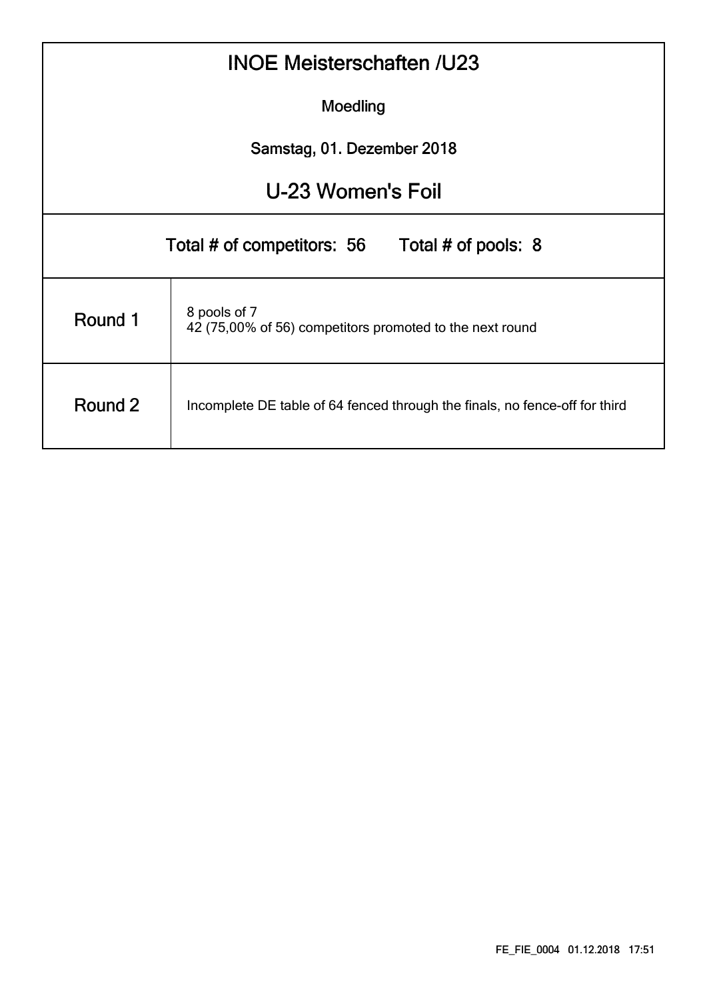|                   | <b>INOE Meisterschaften /U23</b>                                            |  |  |  |  |  |  |  |  |  |  |
|-------------------|-----------------------------------------------------------------------------|--|--|--|--|--|--|--|--|--|--|
|                   | Moedling                                                                    |  |  |  |  |  |  |  |  |  |  |
|                   | Samstag, 01. Dezember 2018                                                  |  |  |  |  |  |  |  |  |  |  |
| U-23 Women's Foil |                                                                             |  |  |  |  |  |  |  |  |  |  |
|                   | Total # of competitors: 56 Total # of pools: 8                              |  |  |  |  |  |  |  |  |  |  |
| Round 1           | 8 pools of 7<br>42 (75,00% of 56) competitors promoted to the next round    |  |  |  |  |  |  |  |  |  |  |
| Round 2           | Incomplete DE table of 64 fenced through the finals, no fence-off for third |  |  |  |  |  |  |  |  |  |  |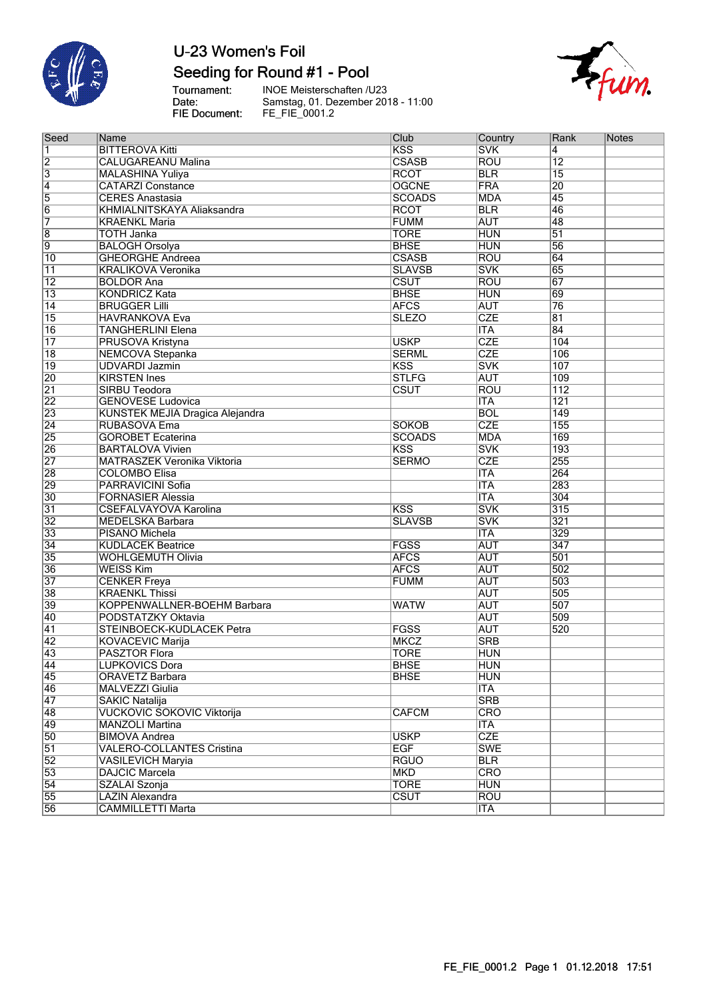

### Seeding for Round #1 - Pool

Tournament:<br>Date:<br>FIE Document:

INOE Meisterschaften /U23<br>Samstag, 01. Dezember 2018 - 11:00<br>FE\_FIE\_0001.2



| Seed            | Name                               | Club                     | Country                 | Rank             | <b>Notes</b> |
|-----------------|------------------------------------|--------------------------|-------------------------|------------------|--------------|
| 1               | <b>BITTEROVA Kitti</b>             | <b>KSS</b>               | <b>SVK</b>              | 4                |              |
| $\overline{2}$  | <b>CALUGAREANU Malina</b>          | <b>CSASB</b>             | <b>ROU</b>              | $\overline{12}$  |              |
| $\overline{3}$  | <b>MALASHINA Yuliya</b>            | <b>RCOT</b>              | <b>BLR</b>              | $\overline{15}$  |              |
| $\overline{4}$  | <b>CATARZI Constance</b>           | <b>OGCNE</b>             | <b>FRA</b>              | 20               |              |
| 5               | <b>CERES Anastasia</b>             | <b>SCOADS</b>            | <b>MDA</b>              | 45               |              |
| $\overline{6}$  | KHMIALNITSKAYA Aliaksandra         | <b>RCOT</b>              | <b>BLR</b>              | 46               |              |
| 7               | <b>KRAENKL Maria</b>               | <b>FUMM</b>              | <b>AUT</b>              | 48               |              |
| $\overline{8}$  | <b>TOTH Janka</b>                  | <b>TORE</b>              | <b>HUN</b>              | $\overline{51}$  |              |
| $\overline{9}$  | <b>BALOGH Orsolya</b>              | <b>BHSE</b>              | <b>HUN</b>              | 56               |              |
| $\overline{10}$ | <b>GHEORGHE Andreea</b>            | <b>CSASB</b>             | <b>ROU</b>              | 64               |              |
| $\overline{11}$ | <b>KRALIKOVA Veronika</b>          | <b>SLAVSB</b>            | <b>SVK</b>              | 65               |              |
| $\overline{12}$ | <b>BOLDOR Ana</b>                  | CSUT                     | <b>ROU</b>              | 67               |              |
| $\overline{13}$ | <b>KONDRICZ Kata</b>               | <b>BHSE</b>              | <b>HUN</b>              | 69               |              |
| $\overline{14}$ | <b>BRUGGER Lilli</b>               | <b>AFCS</b>              | <b>AUT</b>              | 76               |              |
| 15              | <b>HAVRANKOVA Eva</b>              | <b>SLEZO</b>             | <b>CZE</b>              | 81               |              |
| 16              | <b>TANGHERLINI Elena</b>           |                          | <b>ITA</b>              | 84               |              |
| $\overline{17}$ | PRUSOVA Kristyna                   | <b>USKP</b>              | CZE                     | 104              |              |
| $\overline{18}$ | <b>NEMCOVA Stepanka</b>            | <b>SERML</b>             | CZE                     | 106              |              |
| $\overline{19}$ | <b>UDVARDI Jazmin</b>              | <b>KSS</b>               | <b>SVK</b>              | 107              |              |
| 20              | <b>KIRSTEN Ines</b>                | <b>STLFG</b>             | <b>AUT</b>              | 109              |              |
| $\overline{21}$ | <b>SIRBU Teodora</b>               | CSUT                     | <b>ROU</b>              | $\overline{112}$ |              |
| $\overline{22}$ | <b>GENOVESE Ludovica</b>           |                          | <b>ITA</b>              | 121              |              |
| 23              | KUNSTEK MEJIA Dragica Alejandra    |                          | <b>BOL</b>              | 149              |              |
| $\overline{24}$ | RUBASOVA Ema                       | <b>SOKOB</b>             | CZE                     | 155              |              |
| $\overline{25}$ | <b>GOROBET Ecaterina</b>           | <b>SCOADS</b>            | <b>MDA</b>              | 169              |              |
|                 |                                    | <b>KSS</b>               | <b>SVK</b>              | 193              |              |
| 26              | <b>BARTALOVA Vivien</b>            |                          | <b>CZE</b>              |                  |              |
| $\overline{27}$ | <b>MATRASZEK Veronika Viktoria</b> | <b>SERMO</b>             |                         | 255              |              |
| 28              | <b>COLOMBO Elisa</b>               |                          | <b>ITA</b>              | 264              |              |
| 29              | PARRAVICINI Sofia                  |                          | <b>ITA</b>              | 283              |              |
| 30              | <b>FORNASIER Alessia</b>           |                          | <b>ITA</b>              | 304              |              |
| $\overline{31}$ | <b>CSEFALVAYOVA Karolina</b>       | <b>KSS</b>               | <b>SVK</b>              | 315              |              |
| $\overline{32}$ | <b>MEDELSKA Barbara</b>            | <b>SLAVSB</b>            | <b>SVK</b>              | 321              |              |
| $\overline{33}$ | PISANO Michela                     |                          | <b>ITA</b>              | 329              |              |
| $\overline{34}$ | <b>KUDLACEK Beatrice</b>           | FGSS                     | <b>AUT</b>              | 347              |              |
| 35              | <b>WOHLGEMUTH Olivia</b>           | <b>AFCS</b>              | <b>AUT</b>              | 501              |              |
| 36              | <b>WEISS Kim</b>                   | <b>AFCS</b>              | <b>AUT</b>              | 502              |              |
| $\overline{37}$ | <b>CENKER Freya</b>                | <b>FUMM</b>              | <b>AUT</b>              | 503              |              |
| 38              | <b>KRAENKL Thissi</b>              |                          | <b>AUT</b>              | 505              |              |
| 39              | KOPPENWALLNER-BOEHM Barbara        | <b>WATW</b>              | <b>AUT</b>              | 507              |              |
| 40              | PODSTATZKY Oktavia                 |                          | <b>AUT</b>              | 509              |              |
| $\overline{41}$ | STEINBOECK-KUDLACEK Petra          | FGSS                     | <b>AUT</b>              | 520              |              |
| $\overline{42}$ | <b>KOVACEVIC Marija</b>            | <b>MKCZ</b>              | <b>SRB</b>              |                  |              |
| 43              | <b>PASZTOR Flora</b>               | <b>TORE</b>              | <b>HUN</b>              |                  |              |
| 44              | <b>LUPKOVICS Dora</b>              | <b>BHSE</b>              | <b>HUN</b>              |                  |              |
| 45              | <b>ORAVETZ Barbara</b>             | <b>BHSE</b>              | <b>HUN</b>              |                  |              |
| 46              | <b>MALVEZZI Giulia</b>             |                          | <b>ITA</b>              |                  |              |
| 47              | <b>SAKIC Natalija</b>              |                          | <b>SRB</b>              |                  |              |
| 48              | <b>VUCKOVIC SOKOVIC Viktorija</b>  | <b>CAFCM</b>             | <b>CRO</b>              |                  |              |
| 49              | <b>MANZOLI Martina</b>             |                          | <b>ITA</b>              |                  |              |
| 50              | <b>BIMOVA Andrea</b>               | <b>USKP</b>              | <b>CZE</b>              |                  |              |
| $\overline{51}$ | <b>VALERO-COLLANTES Cristina</b>   | <b>EGF</b>               | <b>SWE</b>              |                  |              |
| $\overline{52}$ | <b>VASILEVICH Maryia</b>           | <b>RGUO</b>              | <b>BLR</b>              |                  |              |
| 53              | <b>DAJCIC Marcela</b>              | <b>MKD</b>               | $\overline{\text{CRO}}$ |                  |              |
| $\overline{54}$ | SZALAI Szonja                      | <b>TORE</b>              | <b>HUN</b>              |                  |              |
| 55              | <b>LAZIN Alexandra</b>             | $\overline{\text{CSUT}}$ | <b>ROU</b>              |                  |              |
| 56              | <b>CAMMILLETTI Marta</b>           |                          | <b>ITA</b>              |                  |              |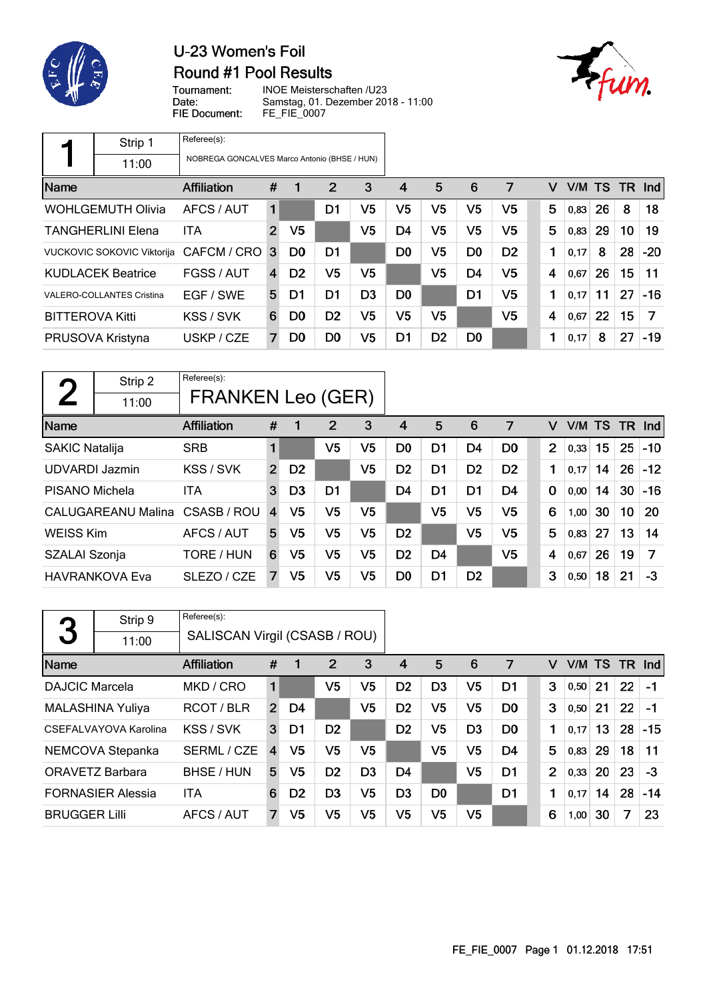

### Round #1 Pool Results



Tournament: Date: FIE Document:

INOE Meisterschaften /U23 Samstag, 01. Dezember 2018 - 11:00 FE\_FIE\_0007

|                        | Strip 1                           | Referee(s):                                  |              |                |                |                |                |                |                |                |   |        |    |      |            |
|------------------------|-----------------------------------|----------------------------------------------|--------------|----------------|----------------|----------------|----------------|----------------|----------------|----------------|---|--------|----|------|------------|
|                        | 11:00                             | NOBREGA GONCALVES Marco Antonio (BHSE / HUN) |              |                |                |                |                |                |                |                |   |        |    |      |            |
| Name                   |                                   | <b>Affiliation</b>                           | #            | 1              | 2              | 3              | 4              | 5              | 6              | 7              | v | V/M TS |    | TR . | <b>Ind</b> |
|                        | <b>WOHLGEMUTH Olivia</b>          | AFCS / AUT                                   | 1            |                | D1             | V5             | V5             | V5             | V5             | V5             | 5 | 0,83   | 26 | 8    | 18         |
|                        | <b>TANGHERLINI Elena</b>          | ITA                                          | $\mathbf{2}$ | V <sub>5</sub> |                | V5             | D4             | V5             | V5             | V5             | 5 | 0,83   | 29 | 10   | 19         |
|                        | <b>VUCKOVIC SOKOVIC Viktorija</b> | CAFCM / CRO                                  | 3            | D <sub>0</sub> | D <sub>1</sub> |                | D <sub>0</sub> | V5             | D <sub>0</sub> | D <sub>2</sub> | 1 | 0,17   | 8  | 28   | $-20$      |
|                        | <b>KUDLACEK Beatrice</b>          | FGSS / AUT                                   | 4            | D <sub>2</sub> | V5             | V5             |                | V5             | D4             | V5             | 4 | 0,67   | 26 | 15   | 11         |
|                        | <b>VALERO-COLLANTES Cristina</b>  | EGF / SWE                                    | 5            | D1             | D <sub>1</sub> | D <sub>3</sub> | D <sub>0</sub> |                | D <sub>1</sub> | V5             | 1 | 0,17   | 11 | 27   | $-16$      |
| <b>BITTEROVA Kitti</b> |                                   | KSS / SVK                                    | 6            | D <sub>0</sub> | D <sub>2</sub> | V5             | V5             | V5             |                | V5             | 4 | 0,67   | 22 | 15   | 7          |
|                        | PRUSOVA Kristyna                  | USKP / CZE                                   | 7            | D <sub>0</sub> | D <sub>0</sub> | V5             | D1             | D <sub>2</sub> | D <sub>0</sub> |                |   | 0,17   | 8  | 27   | $-19$      |

| $\mathbf{\Gamma}$     | Strip 2               | Referee(s):              |                |                |                |    |                |                |                |                |                |        |    |           |       |
|-----------------------|-----------------------|--------------------------|----------------|----------------|----------------|----|----------------|----------------|----------------|----------------|----------------|--------|----|-----------|-------|
|                       | 11:00                 | <b>FRANKEN Leo (GER)</b> |                |                |                |    |                |                |                |                |                |        |    |           |       |
| Name                  |                       | <b>Affiliation</b>       | #              | $\mathbf 1$    | 2              | 3  | 4              | 5              | 6              | 7              | v              | V/M TS |    | <b>TR</b> | Ind   |
| <b>SAKIC Natalija</b> |                       | <b>SRB</b>               | 1              |                | V5             | V5 | D <sub>0</sub> | D1             | D4             | D <sub>0</sub> | $\overline{2}$ | 0,33   | 15 | 25        | $-10$ |
| <b>UDVARDI Jazmin</b> |                       | KSS / SVK                | $\overline{2}$ | D <sub>2</sub> |                | V5 | D <sub>2</sub> | D <sub>1</sub> | D <sub>2</sub> | D <sub>2</sub> | 1              | 0,17   | 14 | 26        | $-12$ |
| PISANO Michela        |                       | ITA                      | 3              | D <sub>3</sub> | D <sub>1</sub> |    | D4             | D <sub>1</sub> | D1             | D <sub>4</sub> | $\mathbf 0$    | 0,00   | 14 | 30        | $-16$ |
|                       | CALUGAREANU Malina    | CSASB/ROU                | $\overline{4}$ | V5             | V <sub>5</sub> | V5 |                | V <sub>5</sub> | V <sub>5</sub> | V <sub>5</sub> | 6              | 1,00   | 30 | 10        | 20    |
| <b>WEISS Kim</b>      |                       | AFCS / AUT               | 5              | V <sub>5</sub> | V <sub>5</sub> | V5 | D <sub>2</sub> |                | V <sub>5</sub> | V5             | 5              | 0,83   | 27 | 13        | 14    |
| SZALAI Szonja         |                       | TORE / HUN               | 6              | V5             | V <sub>5</sub> | V5 | D <sub>2</sub> | D <sub>4</sub> |                | V5             | 4              | 0,67   | 26 | 19        | 7     |
|                       | <b>HAVRANKOVA Eva</b> | SLEZO / CZE              | 7              | V5             | V <sub>5</sub> | V5 | D0             | D1             | D <sub>2</sub> |                | 3              | 0,50   | 18 | 21        | -3    |

|                       | Strip 9                  | Referee(s):                   |                |                |                |                |                |                |                |                |                |        |    |     |            |
|-----------------------|--------------------------|-------------------------------|----------------|----------------|----------------|----------------|----------------|----------------|----------------|----------------|----------------|--------|----|-----|------------|
| 3                     | 11:00                    | SALISCAN Virgil (CSASB / ROU) |                |                |                |                |                |                |                |                |                |        |    |     |            |
| Name                  |                          | Affiliation                   | #              | 1              | $\overline{2}$ | 3              | 4              | 5              | 6              | 7              | v              | V/M TS |    | TR. | <b>Ind</b> |
| <b>DAJCIC Marcela</b> |                          | MKD / CRO                     | 1              |                | V5             | V5             | D <sub>2</sub> | D <sub>3</sub> | V <sub>5</sub> | D1             | 3              | 0,50   | 21 | 22  | $-1$       |
|                       | <b>MALASHINA Yuliya</b>  | RCOT / BLR                    | $\overline{2}$ | D4             |                | V5             | D <sub>2</sub> | V <sub>5</sub> | V5             | D <sub>0</sub> | 3              | 0,50   | 21 | 22  | $-1$       |
|                       | CSEFALVAYOVA Karolina    | KSS / SVK                     | 3              | D1             | D <sub>2</sub> |                | D <sub>2</sub> | V <sub>5</sub> | D <sub>3</sub> | D <sub>0</sub> | 1              | 0,17   | 13 | 28  | $-15$      |
|                       | NEMCOVA Stepanka         | SERML / CZE                   | $\overline{4}$ | V5             | V <sub>5</sub> | V5             |                | V <sub>5</sub> | V5             | D <sub>4</sub> | 5              | 0,83   | 29 | 18  | 11         |
|                       | <b>ORAVETZ Barbara</b>   | BHSE / HUN                    | 5              | V5             | D <sub>2</sub> | D <sub>3</sub> | D <sub>4</sub> |                | V5             | D <sub>1</sub> | $\overline{2}$ | 0,33   | 20 | 23  | $-3$       |
|                       | <b>FORNASIER Alessia</b> | <b>ITA</b>                    | 6              | D <sub>2</sub> | D <sub>3</sub> | V5             | D <sub>3</sub> | D <sub>0</sub> |                | D <sub>1</sub> | 1              | 0,17   | 14 | 28  | $-14$      |
| <b>BRUGGER Lilli</b>  |                          | AFCS / AUT                    | 7              | V5             | V5             | V5             | V5             | V <sub>5</sub> | V5             |                | 6              | 1,00   | 30 | 7   | 23         |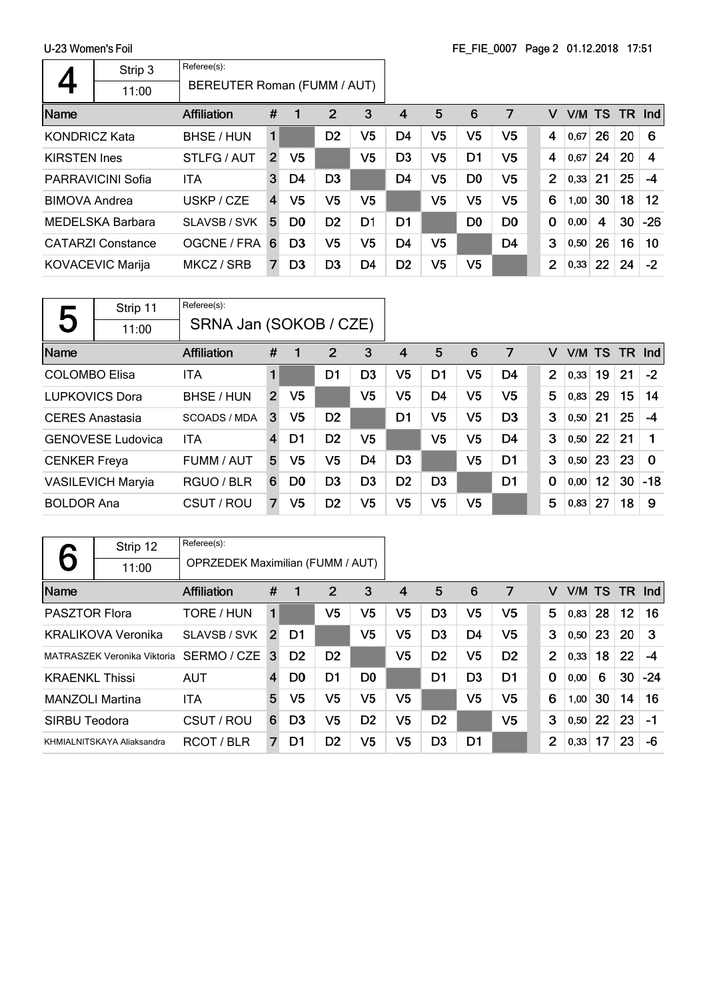|                      |                                       |                             |                |                |                |                |                |                |                | $\frac{1}{2}$ $\frac{1}{2}$ $\frac{1}{2}$ $\frac{1}{2}$ $\frac{1}{2}$ $\frac{1}{2}$ $\frac{1}{2}$ $\frac{1}{2}$ $\frac{1}{2}$ $\frac{1}{2}$ $\frac{1}{2}$ $\frac{1}{2}$ $\frac{1}{2}$ $\frac{1}{2}$ $\frac{1}{2}$ $\frac{1}{2}$ $\frac{1}{2}$ $\frac{1}{2}$ $\frac{1}{2}$ $\frac{1}{2}$ $\frac{1}{2}$ $\frac{1}{2}$ |             |      |    |                 |                   |
|----------------------|---------------------------------------|-----------------------------|----------------|----------------|----------------|----------------|----------------|----------------|----------------|---------------------------------------------------------------------------------------------------------------------------------------------------------------------------------------------------------------------------------------------------------------------------------------------------------------------|-------------|------|----|-----------------|-------------------|
|                      | Strip 3                               | Referee(s):                 |                |                |                |                |                |                |                |                                                                                                                                                                                                                                                                                                                     |             |      |    |                 |                   |
|                      | 11:00                                 | BEREUTER Roman (FUMM / AUT) |                |                |                |                |                |                |                |                                                                                                                                                                                                                                                                                                                     |             |      |    |                 |                   |
| Name                 |                                       | <b>Affiliation</b>          | #              | 1              | $\overline{2}$ | 3              | 4              | 5              | 6              | 7                                                                                                                                                                                                                                                                                                                   | v           |      |    | $V/M$ TS TR Ind |                   |
| <b>KONDRICZ Kata</b> |                                       | BHSE / HUN                  | 1              |                | D <sub>2</sub> | V <sub>5</sub> | D <sub>4</sub> | V <sub>5</sub> | V <sub>5</sub> | V <sub>5</sub>                                                                                                                                                                                                                                                                                                      | 4           | 0,67 | 26 | 20              | 6                 |
| <b>KIRSTEN Ines</b>  |                                       | STLFG / AUT                 | $\overline{2}$ | V5             |                | V <sub>5</sub> | D3             | V5             | D <sub>1</sub> | V <sub>5</sub>                                                                                                                                                                                                                                                                                                      | 4           | 0,67 | 24 | 20              | 4                 |
|                      | <b>PARRAVICINI Sofia</b>              | <b>ITA</b>                  | 3              | D4             | D <sub>3</sub> |                | D <sub>4</sub> | V <sub>5</sub> | D <sub>0</sub> | V <sub>5</sub>                                                                                                                                                                                                                                                                                                      | 2           | 0,33 | 21 | 25              | $-4$              |
| <b>BIMOVA Andrea</b> |                                       | USKP / CZE                  | $\overline{4}$ | V <sub>5</sub> | V <sub>5</sub> | V5.            |                | V <sub>5</sub> | V <sub>5</sub> | V <sub>5</sub>                                                                                                                                                                                                                                                                                                      | 6           | 1,00 | 30 | 18              | $12 \overline{ }$ |
|                      | MEDELSKA Barbara                      | SLAVSB / SVK                | 5              | D <sub>0</sub> | D <sub>2</sub> | D <sub>1</sub> | D1             |                | D <sub>0</sub> | D <sub>0</sub>                                                                                                                                                                                                                                                                                                      | $\mathbf 0$ | 0,00 | 4  | 30              | $-26$             |
|                      | <b>CATARZI Constance</b>              | OGCNE / FRA 6               |                | D <sub>3</sub> | V <sub>5</sub> | V5             | D <sub>4</sub> | V <sub>5</sub> |                | D <sub>4</sub>                                                                                                                                                                                                                                                                                                      | 3           | 0,50 | 26 | 16              | 10                |
|                      | <b>KOVACEVIC Marija</b><br>MKCZ / SRB |                             |                | D <sub>3</sub> | D <sub>3</sub> | D4             | D <sub>2</sub> | V <sub>5</sub> | V5             |                                                                                                                                                                                                                                                                                                                     | 2           | 0,33 | 22 | 24              | $-2$              |
|                      |                                       |                             |                |                |                |                |                |                |                |                                                                                                                                                                                                                                                                                                                     |             |      |    |                 |                   |

| 5                      | Strip 11                 | Referee(s):            |                |                |                |                |                |                |                |                |                |        |    |           |          |
|------------------------|--------------------------|------------------------|----------------|----------------|----------------|----------------|----------------|----------------|----------------|----------------|----------------|--------|----|-----------|----------|
|                        | 11:00                    | SRNA Jan (SOKOB / CZE) |                |                |                |                |                |                |                |                |                |        |    |           |          |
| Name                   |                          | <b>Affiliation</b>     | #              |                | 2              | 3              | 4              | 5              | 6              | 7              | v              | V/M TS |    | <b>TR</b> | Ind      |
| <b>COLOMBO Elisa</b>   |                          | <b>ITA</b>             | 1              |                | D1             | D <sub>3</sub> | V5             | D1             | V <sub>5</sub> | D4             | $\overline{2}$ | 0,33   | 19 | 21        | $-2$     |
| <b>LUPKOVICS Dora</b>  |                          | BHSE / HUN             | $\overline{2}$ | V <sub>5</sub> |                | V <sub>5</sub> | V5             | D <sub>4</sub> | V5             | V5             | 5              | 0,83   | 29 | 15        | 14       |
| <b>CERES</b> Anastasia |                          | <b>SCOADS / MDA</b>    | 3              | V5             | D <sub>2</sub> |                | D1             | V <sub>5</sub> | V <sub>5</sub> | D <sub>3</sub> | 3              | 0,50   | 21 | 25        | $-4$     |
|                        | <b>GENOVESE Ludovica</b> | <b>ITA</b>             | $\overline{4}$ | D1             | D <sub>2</sub> | V5             |                | V <sub>5</sub> | V <sub>5</sub> | D <sub>4</sub> | 3              | 0,50   | 22 | 21        |          |
| <b>CENKER Freya</b>    |                          | FUMM / AUT             | 5              | V <sub>5</sub> | V5             | D <sub>4</sub> | D <sub>3</sub> |                | V <sub>5</sub> | D <sub>1</sub> | 3              | 0,50   | 23 | 23        | $\Omega$ |
|                        | <b>VASILEVICH Maryia</b> | RGUO / BLR             | 6              | D0             | D <sub>3</sub> | D <sub>3</sub> | D <sub>2</sub> | D <sub>3</sub> |                | D <sub>1</sub> | 0              | 0,00   | 12 | 30        | $-18$    |
| <b>BOLDOR Ana</b>      |                          | CSUT / ROU             | 7              | V <sub>5</sub> | D <sub>2</sub> | V <sub>5</sub> | V <sub>5</sub> | V <sub>5</sub> | V <sub>5</sub> |                | 5              | 0,83   | 27 | 18        | 9        |

|                        | Strip 12                           | Referee(s):                             |                |                |                |                |    |                |                |                |                |        |    |                 |            |
|------------------------|------------------------------------|-----------------------------------------|----------------|----------------|----------------|----------------|----|----------------|----------------|----------------|----------------|--------|----|-----------------|------------|
|                        | 11:00                              | <b>OPRZEDEK Maximilian (FUMM / AUT)</b> |                |                |                |                |    |                |                |                |                |        |    |                 |            |
| Name                   |                                    | <b>Affiliation</b>                      | #              | 1              | 2              | 3              | 4  | 5              | 6              | 7              | v              | V/M TS |    | - TR            | <b>Ind</b> |
| <b>PASZTOR Flora</b>   |                                    | TORE / HUN                              | 1              |                | V5             | V5             | V5 | D <sub>3</sub> | V5             | V5             | 5              | 0,83   | 28 | 12 <sub>2</sub> | 16         |
|                        | <b>KRALIKOVA Veronika</b>          | SLAVSB / SVK                            | 2              | D1             |                | V <sub>5</sub> | V5 | D <sub>3</sub> | D4             | V5             | 3              | 0,50   | 23 | 20              | 3          |
|                        | <b>MATRASZEK Veronika Viktoria</b> | SERMO / CZE                             | 3              | D <sub>2</sub> | D <sub>2</sub> |                | V5 | D <sub>2</sub> | V5             | D <sub>2</sub> | $\overline{2}$ | 0,33   | 18 | 22              | -4         |
| <b>KRAENKL Thissi</b>  |                                    | <b>AUT</b>                              | $\overline{4}$ | D <sub>0</sub> | D1             | D <sub>0</sub> |    | D1             | D <sub>3</sub> | D <sub>1</sub> | $\mathbf 0$    | 0,00   | 6  | 30              | $-24$      |
| <b>MANZOLI Martina</b> |                                    | <b>ITA</b>                              | 5              | V5             | V5             | V5             | V5 |                | V5             | V5             | 6              | 1,00   | 30 | 14              | 16         |
| SIRBU Teodora          |                                    | CSUT / ROU                              | 6              | D <sub>3</sub> | V5             | D <sub>2</sub> | V5 | D <sub>2</sub> |                | V5             | 3              | 0,50   | 22 | 23              | $-1$       |
|                        | KHMIALNITSKAYA Aliaksandra         | RCOT/BLR                                | 7              | D1             | D <sub>2</sub> | V5             | V5 | D <sub>3</sub> | D1             |                | 2              | 0,33   | 17 | 23              | -6         |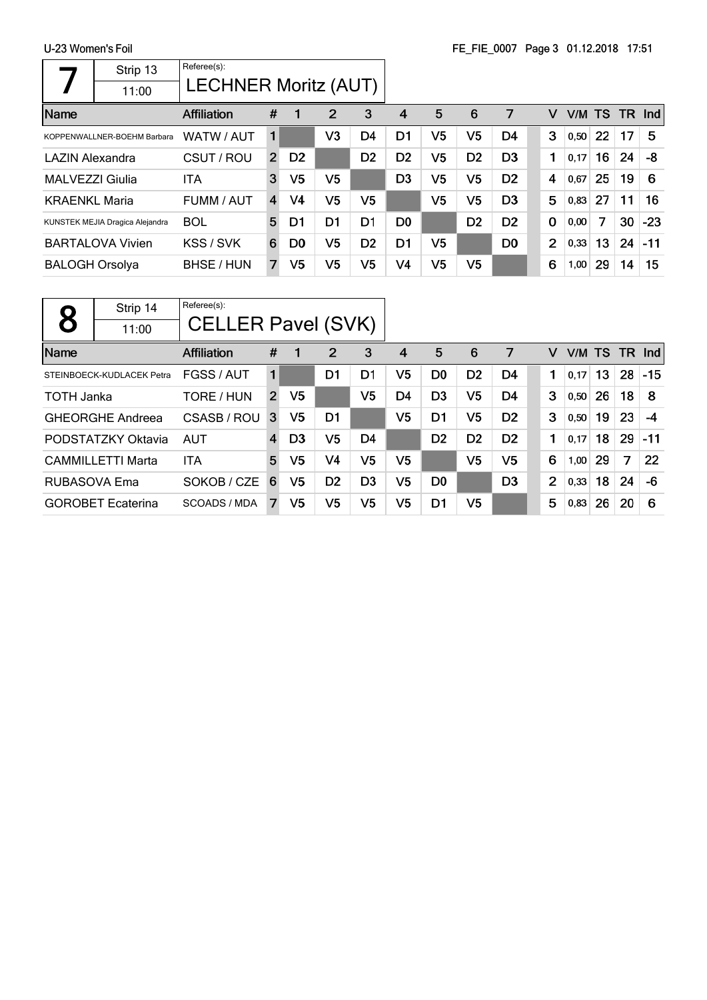r

|                       | Strip 13                        | Referee(s):                 |                |                |                |                |                |                |                |                |                |      |           |    |        |
|-----------------------|---------------------------------|-----------------------------|----------------|----------------|----------------|----------------|----------------|----------------|----------------|----------------|----------------|------|-----------|----|--------|
|                       | 11:00                           | <b>LECHNER Moritz (AUT)</b> |                |                |                |                |                |                |                |                |                |      |           |    |        |
| Name                  |                                 | <b>Affiliation</b>          | #              |                | $\overline{2}$ | 3              | 4              | 5              | 6              | 7              | v              | V/M  | <b>TS</b> |    | TR Ind |
|                       | KOPPENWALLNER-BOEHM Barbara     | WATW / AUT                  | 1              |                | V <sub>3</sub> | D <sub>4</sub> | D1             | V <sub>5</sub> | V <sub>5</sub> | D <sub>4</sub> | 3              | 0,50 | 22        | 17 | 5      |
| LAZIN Alexandra       |                                 | CSUT / ROU                  | $\overline{2}$ | D <sub>2</sub> |                | D <sub>2</sub> | D <sub>2</sub> | V5             | D <sub>2</sub> | D <sub>3</sub> | 1              | 0.17 | 16        | 24 | -8     |
| MALVEZZI Giulia       |                                 | ITA                         | 3              | V <sub>5</sub> | V <sub>5</sub> |                | D <sub>3</sub> | V <sub>5</sub> | V <sub>5</sub> | D <sub>2</sub> | 4              | 0,67 | 25        | 19 | 6      |
| <b>KRAENKL Maria</b>  |                                 | FUMM / AUT                  | 4              | V4             | V <sub>5</sub> | V <sub>5</sub> |                | V <sub>5</sub> | V <sub>5</sub> | D <sub>3</sub> | 5              | 0,83 | 27        | 11 | 16     |
|                       | KUNSTEK MEJIA Dragica Alejandra | <b>BOL</b>                  | 5              | D1             | D1             | D <sub>1</sub> | D <sub>0</sub> |                | D <sub>2</sub> | D <sub>2</sub> | $\mathbf 0$    | 0,00 | 7         | 30 | $-23$  |
|                       | <b>BARTALOVA Vivien</b>         | KSS / SVK                   | 6              | D <sub>0</sub> | V <sub>5</sub> | D <sub>2</sub> | D1             | V5             |                | D <sub>0</sub> | $\overline{2}$ | 0,33 | 13        | 24 | -11    |
| <b>BALOGH Orsolya</b> |                                 | BHSE / HUN                  | $\overline{7}$ | V5             | V5             | V5             | V4             | V <sub>5</sub> | V <sub>5</sub> |                | 6              | 1,00 | 29        | 14 | 15     |

 $\label{eq:2.1} \mathcal{L}(\mathcal{L}) = \mathcal{L}(\mathcal{L}) \otimes \mathcal{L}(\mathcal{L}) \otimes \mathcal{L}(\mathcal{L})$ 

| 8                 | Strip 14                  | Referee(s):<br><b>CELLER Pavel (SVK)</b> |                |                |                |                |                |                |                |                |                |      |           |     |       |
|-------------------|---------------------------|------------------------------------------|----------------|----------------|----------------|----------------|----------------|----------------|----------------|----------------|----------------|------|-----------|-----|-------|
|                   | 11:00                     |                                          |                |                |                |                |                |                |                |                |                |      |           |     |       |
| Name              |                           | <b>Affiliation</b>                       | #              |                | 2              | 3              | 4              | 5              | 6              | 7              | V              | V/M  | <b>TS</b> | TR. | Ind   |
|                   | STEINBOECK-KUDLACEK Petra | FGSS / AUT                               |                |                | D1             | D1             | V5             | D <sub>0</sub> | D <sub>2</sub> | D4             |                | 0,17 | 13        | 28  | $-15$ |
| <b>TOTH Janka</b> |                           | TORE / HUN                               | $\overline{2}$ | V <sub>5</sub> |                | V <sub>5</sub> | D4             | D <sub>3</sub> | V <sub>5</sub> | D <sub>4</sub> | 3              | 0,50 | 26        | 18  | 8     |
|                   | <b>GHEORGHE Andreea</b>   | CSASB / ROU                              | 3              | V5             | D <sub>1</sub> |                | V <sub>5</sub> | D <sub>1</sub> | V <sub>5</sub> | D <sub>2</sub> | 3              | 0,50 | 19        | 23  | $-4$  |
|                   | PODSTATZKY Oktavia        | <b>AUT</b>                               | $\overline{4}$ | D <sub>3</sub> | V <sub>5</sub> | D4             |                | D <sub>2</sub> | D2             | D <sub>2</sub> | 1              | 0,17 | 18        | 29  | $-11$ |
|                   | <b>CAMMILLETTI Marta</b>  | ITA                                      | 5              | V5             | V <sub>4</sub> | V5             | V5             |                | V <sub>5</sub> | V <sub>5</sub> | 6              | 1,00 | 29        | 7   | 22    |
| RUBASOVA Ema      |                           | SOKOB / CZE                              | 6              | V5             | D <sub>2</sub> | D <sub>3</sub> | V <sub>5</sub> | D <sub>0</sub> |                | D <sub>3</sub> | $\overline{2}$ | 0,33 | 18        | 24  | -6    |
|                   | <b>GOROBET</b> Ecaterina  | SCOADS / MDA                             |                | V5             | V <sub>5</sub> | V5             | V <sub>5</sub> | D1             | V <sub>5</sub> |                | 5              | 0,83 | 26        | 20  | 6     |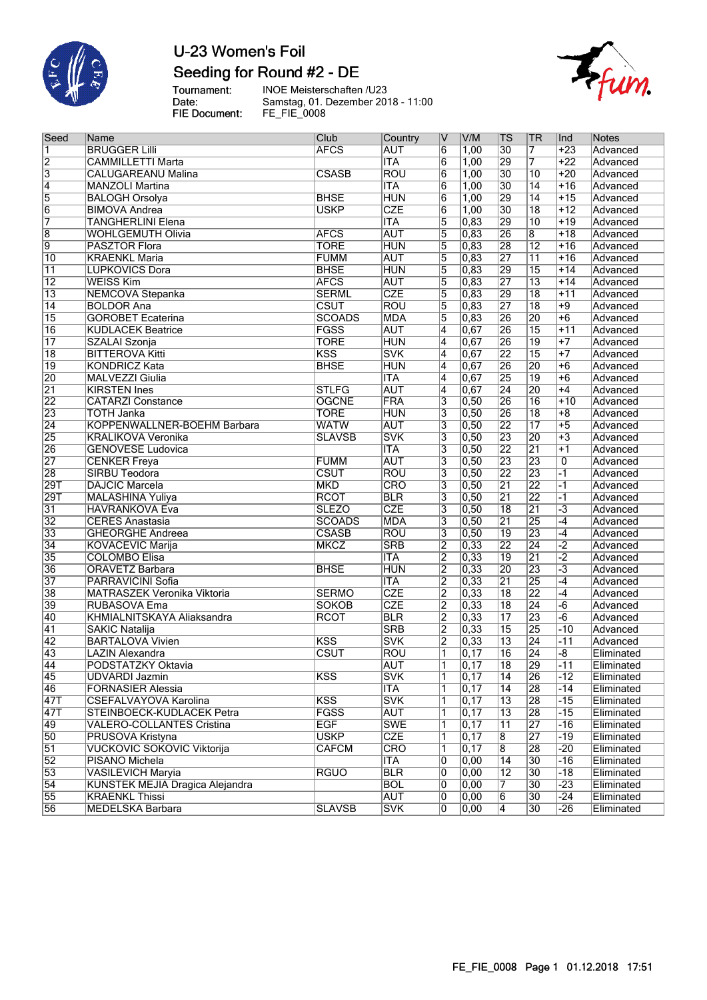

## U-23 Women's Foil Seeding for Round #2 - DE

Tournament:<br>Date:<br>FIE Document:

INOE Meisterschaften /U23 Samstag, 01. Dezember 2018 - 11:00 FE\_FIE\_0008



| Seed                    | Name                                   | Club          | Country    | IV                        | V/M               | TS              | <b>TR</b>               | Ind                  | Notes      |
|-------------------------|----------------------------------------|---------------|------------|---------------------------|-------------------|-----------------|-------------------------|----------------------|------------|
| $\overline{\mathbf{1}}$ | <b>BRUGGER Lilli</b>                   | <b>AFCS</b>   | <b>AUT</b> | 6                         | 1,00              | $\overline{30}$ | 7                       | $+23$                | Advanced   |
|                         | <b>CAMMILLETTI Marta</b>               |               | <b>ITA</b> | $6\overline{6}$           | 1,00              | 29              | 7                       | $+22$                | Advanced   |
| $\frac{2}{3}$           | <b>CALUGAREANU Malina</b>              | <b>CSASB</b>  | <b>ROU</b> | $\overline{6}$            | 1,00              | $\overline{30}$ | $\overline{10}$         | $+20$                | Advanced   |
| $\overline{4}$          | <b>MANZOLI Martina</b>                 |               | <b>ITA</b> | $\overline{6}$            | 1,00              | 30              | $\overline{14}$         | $+16$                | Advanced   |
| 5                       | <b>BALOGH Orsolya</b>                  | <b>BHSE</b>   | <b>HUN</b> | 6                         | 1,00              | 29              | $\overline{14}$         | $+15$                | Advanced   |
| $\overline{6}$          | <b>BIMOVA Andrea</b>                   | <b>USKP</b>   | <b>CZE</b> | $6\overline{6}$           | 1,00              | $\overline{30}$ | $\overline{18}$         | $+12$                | Advanced   |
| 7                       | <b>TANGHERLINI Elena</b>               |               | <b>ITA</b> | $\overline{5}$            | 0,83              | 29              | 10                      | $+19$                | Advanced   |
| $\overline{8}$          | <b>WOHLGEMUTH Olivia</b>               | <b>AFCS</b>   | <b>AUT</b> | $\overline{5}$            | 0,83              | $\overline{26}$ | $\overline{\mathbf{8}}$ | $+18$                | Advanced   |
| 9                       | <b>PASZTOR Flora</b>                   | <b>TORE</b>   | <b>HUN</b> | $\overline{5}$            | 0,83              | 28              | $\overline{12}$         | $+16$                | Advanced   |
| 10                      | <b>KRAENKL Maria</b>                   | <b>FUMM</b>   | <b>AUT</b> | 5                         | 0,83              | 27              | $\overline{11}$         | $+16$                | Advanced   |
| $\overline{11}$         | <b>LUPKOVICS Dora</b>                  | <b>BHSE</b>   | <b>HUN</b> | $\overline{5}$            | 0,83              | 29              | $\overline{15}$         | $+14$                | Advanced   |
| $\overline{12}$         | <b>WEISS Kim</b>                       | <b>AFCS</b>   | <b>AUT</b> | $\overline{5}$            | 0,83              | 27              | $\overline{13}$         | $+14$                | Advanced   |
| $\overline{13}$         | <b>NEMCOVA Stepanka</b>                | <b>SERML</b>  | <b>CZE</b> | $\overline{5}$            | 0,83              | 29              | $\overline{18}$         | $+11$                | Advanced   |
| $\overline{14}$         | <b>BOLDOR Ana</b>                      | CSUT          | <b>ROU</b> | $\overline{5}$            | 0,83              | $\overline{27}$ | $\overline{18}$         | $+9$                 | Advanced   |
| $\overline{15}$         | <b>GOROBET Ecaterina</b>               | <b>SCOADS</b> | <b>MDA</b> | $\overline{5}$            | 0,83              | 26              | $\overline{20}$         | $+6$                 | Advanced   |
| $\overline{16}$         | <b>KUDLACEK Beatrice</b>               | <b>FGSS</b>   | <b>AUT</b> | $\overline{4}$            | 0,67              | 26              | $\overline{15}$         | $+11$                | Advanced   |
| $\overline{17}$         | SZALAI Szonja                          | <b>TORE</b>   | <b>HUN</b> | 4                         | 0,67              | 26              | $\overline{19}$         | $+7$                 | Advanced   |
| $\overline{18}$         | <b>BITTEROVA Kitti</b>                 | KSS           | <b>SVK</b> | 4                         | 0,67              | 22              | $\overline{15}$         | $+7$                 | Advanced   |
| 19                      | <b>KONDRICZ Kata</b>                   | <b>BHSE</b>   | <b>HUN</b> | $\overline{4}$            | 0,67              | 26              | $\overline{20}$         | $+6$                 | Advanced   |
| 20                      | <b>MALVEZZI Giulia</b>                 |               | <b>ITA</b> | $\overline{\mathbf{4}}$   | 0,67              | 25              | $\overline{19}$         | $+6$                 | Advanced   |
| $\overline{21}$         | <b>KIRSTEN Ines</b>                    | <b>STLFG</b>  | <b>AUT</b> | $\overline{4}$            | 0,67              | $\overline{24}$ | $\overline{20}$         | $+4$                 | Advanced   |
| $\overline{22}$         | <b>CATARZI Constance</b>               | <b>OGCNE</b>  | FRA        | $\overline{\overline{3}}$ | 0,50              | 26              | $\overline{16}$         | $+10$                | Advanced   |
| 23                      | <b>TOTH Janka</b>                      | <b>TORE</b>   | <b>HUN</b> | 3                         | 0,50              | 26              | $\overline{18}$         | $+8$                 | Advanced   |
| $\overline{24}$         | KOPPENWALLNER-BOEHM Barbara            | <b>WATW</b>   | <b>AUT</b> | 3                         | 0,50              | $\overline{22}$ | $\overline{17}$         | $+5$                 | Advanced   |
| 25                      | <b>KRALIKOVA Veronika</b>              | <b>SLAVSB</b> | <b>SVK</b> | $\overline{\mathbf{3}}$   | 0,50              | 23              | $\overline{20}$         | $+3$                 | Advanced   |
| 26                      | <b>GENOVESE Ludovica</b>               |               | <b>ITA</b> | $\overline{\mathbf{3}}$   | 0,50              | 22              | $\overline{21}$         | $+1$                 | Advanced   |
| $\overline{27}$         | <b>CENKER Freya</b>                    | <b>FUMM</b>   | <b>AUT</b> | 3                         | 0,50              | $\overline{23}$ | $\overline{23}$         | 0                    | Advanced   |
| 28                      | <b>SIRBU Teodora</b>                   | <b>CSUT</b>   | <b>ROU</b> | $\overline{\mathbf{3}}$   | 0,50              | 22              | $\overline{23}$         | $-1$                 | Advanced   |
| $\overline{29T}$        | <b>DAJCIC Marcela</b>                  | <b>MKD</b>    | CRO        | $\overline{\mathbf{3}}$   | 0,50              | 21              | $\overline{22}$         | $-1$                 | Advanced   |
| 29T                     | MALASHINA Yuliya                       | <b>RCOT</b>   | <b>BLR</b> | 3                         | 0,50              | $\overline{21}$ | $\overline{22}$         | $-1$                 | Advanced   |
| $\overline{31}$         | <b>HAVRANKOVA Eva</b>                  | <b>SLEZO</b>  | <b>CZE</b> | $\overline{\mathbf{3}}$   | 0,50              | $\overline{18}$ | $\overline{21}$         | $\overline{-3}$      | Advanced   |
| $\overline{32}$         | <b>CERES Anastasia</b>                 | <b>SCOADS</b> | <b>MDA</b> | $\overline{\mathbf{3}}$   | 0,50              | $\overline{21}$ | $\overline{25}$         | $-4$                 | Advanced   |
| 33                      | <b>GHEORGHE Andreea</b>                | <b>CSASB</b>  | <b>ROU</b> | $\overline{\mathbf{3}}$   | 0,50              | $\overline{19}$ | $\overline{23}$         | $-4$                 | Advanced   |
| $\overline{34}$         | <b>KOVACEVIC Marija</b>                | <b>MKCZ</b>   | <b>SRB</b> | $\overline{2}$            | 0,33              | $\overline{22}$ | $\overline{24}$         | $\overline{-2}$      | Advanced   |
| 35                      | <b>COLOMBO Elisa</b>                   |               | <b>ITA</b> | $\overline{2}$            | 0,33              | $\overline{19}$ | $\overline{21}$         | $\overline{-2}$      | Advanced   |
| 36                      | <b>ORAVETZ Barbara</b>                 | <b>BHSE</b>   | <b>HUN</b> | $\overline{2}$            | 0,33              | 20              | 23                      | $\overline{\cdot 3}$ | Advanced   |
| 37                      | PARRAVICINI Sofia                      |               | <b>ITA</b> | $\overline{2}$            | 0,33              | $\overline{21}$ | $\overline{25}$         | $-4$                 | Advanced   |
| 38                      | <b>MATRASZEK Veronika Viktoria</b>     | <b>SERMO</b>  | <b>CZE</b> | $\overline{2}$            | 0,33              | $\overline{18}$ | $\overline{22}$         | $-4$                 | Advanced   |
| 39                      | RUBASOVA Ema                           | <b>SOKOB</b>  | <b>CZE</b> | $\overline{2}$            | 0,33              | $\overline{18}$ | $\overline{24}$         | $-6$                 | Advanced   |
| 40                      | KHMIALNITSKAYA Aliaksandra             | <b>RCOT</b>   | <b>BLR</b> | $\overline{2}$            | 0,33              | $\overline{17}$ | 23                      | $-6$                 | Advanced   |
| 41                      | <b>SAKIC Natalija</b>                  |               | <b>SRB</b> | $\overline{2}$            | 0,33              | $\overline{15}$ | 25                      | $-10$                | Advanced   |
| $\overline{42}$         | <b>BARTALOVA Vivien</b>                | KSS           | <b>SVK</b> | $\overline{2}$            | 0,33              | $\overline{13}$ | $\overline{24}$         | $-11$                | Advanced   |
| 43                      | <b>LAZIN Alexandra</b>                 | CSUT          | <b>ROU</b> | 1                         | $\overline{0,17}$ | 16              | $\overline{24}$         | $-\sqrt{8}$          | Eliminated |
| 44                      | PODSTATZKY Oktavia                     |               | <b>AUT</b> | $\overline{1}$            | 0, 17             | $\overline{18}$ | 29                      | $-11$                | Eliminated |
| $\overline{45}$         | <b>UDVARDI Jazmin</b>                  | <b>KSS</b>    | <b>SVK</b> | 1                         | 0,17              | 14              | 26                      | $-12$                | Eliminated |
| $\overline{46}$         | <b>FORNASIER Alessia</b>               |               | <b>ITA</b> | 1                         | 0,17              | 14              | $\overline{28}$         | -14                  | Eliminated |
| $\sqrt{47T}$            | CSEFALVAYOVA Karolina                  | <b>KSS</b>    | <b>SVK</b> | 1                         | 0,17              | 13              | 28                      | $-15$                | Eliminated |
| $\overline{47T}$        | STEINBOECK-KUDLACEK Petra              | <b>FGSS</b>   | <b>AUT</b> | 1                         | 0,17              | $\overline{13}$ | $\overline{28}$         | $-15$                | Eliminated |
| 49                      | VALERO-COLLANTES Cristina              | <b>EGF</b>    | <b>SWE</b> | 1                         | 0,17              | 11              | 27                      | $-16$                | Eliminated |
| 50                      | PRUSOVA Kristyna                       | <b>USKP</b>   | <b>CZE</b> | 1                         | 0,17              | $\overline{8}$  | $\overline{27}$         | -19                  | Eliminated |
| $\overline{51}$         | <b>VUCKOVIC SOKOVIC Viktorija</b>      | <b>CAFCM</b>  | <b>CRO</b> | 1                         | 0,17              | $\overline{8}$  | 28                      | $-20$                | Eliminated |
| $\overline{52}$         | PISANO Michela                         |               | ITA        | 0                         | 0,00              | 14              | 30                      | $-16$                | Eliminated |
| 53                      | <b>VASILEVICH Maryia</b>               | <b>RGUO</b>   | <b>BLR</b> | 0                         | 0,00              | $\overline{12}$ | 30                      | $-18$                | Eliminated |
| $\overline{54}$         | <b>KUNSTEK MEJIA Dragica Alejandra</b> |               | <b>BOL</b> | 0                         | 0,00              | 7               | $\overline{30}$         | $-23$                | Eliminated |
| 55                      | <b>KRAENKL Thissi</b>                  |               | AUT        | 0                         | 0,00              | 6               | 30                      | -24                  | Eliminated |
| 56                      | MEDELSKA Barbara                       | <b>SLAVSB</b> | <b>SVK</b> | 0                         | 0,00              | 4               | 30                      | $-26$                | Eliminated |
|                         |                                        |               |            |                           |                   |                 |                         |                      |            |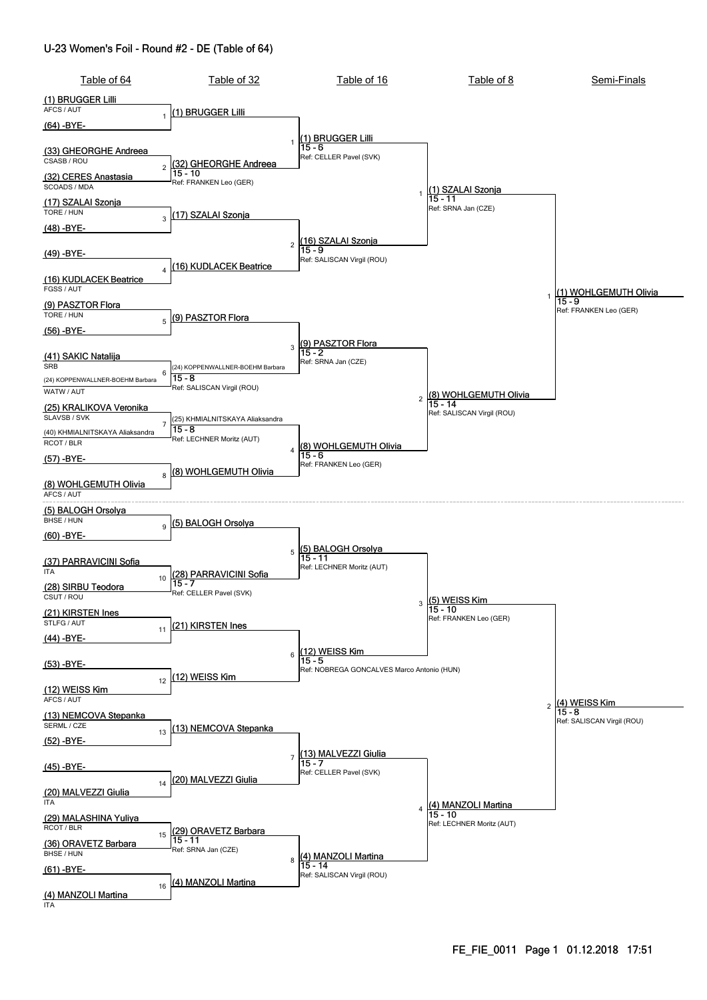#### U-23 Women's Foil - Round #2 - DE (Table of 64)

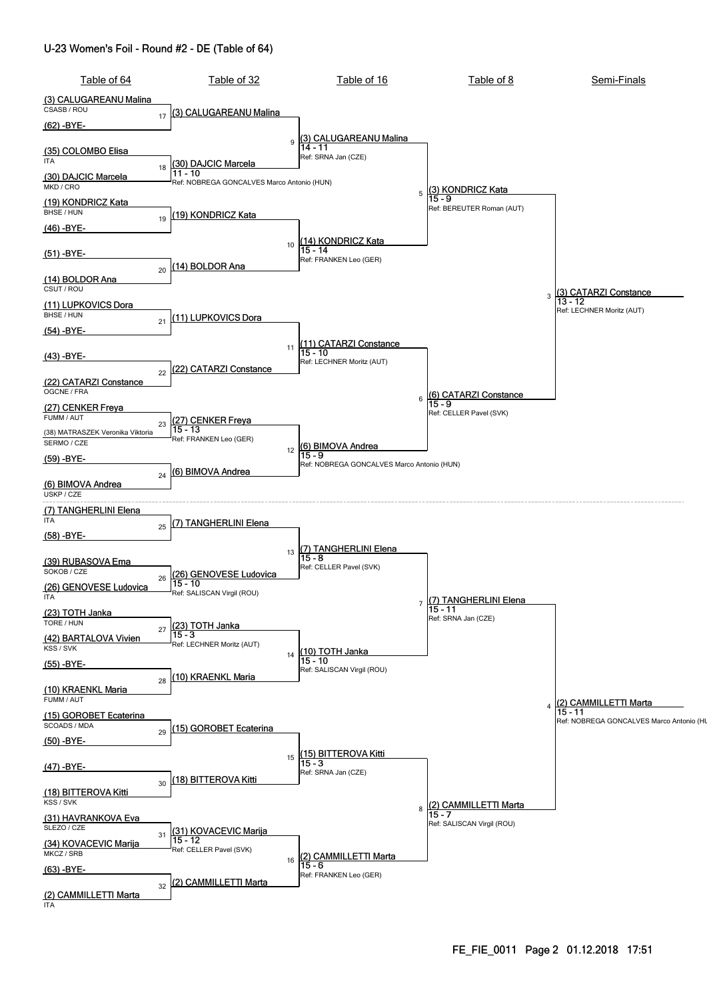#### U-23 Women's Foil - Round #2 - DE (Table of 64)

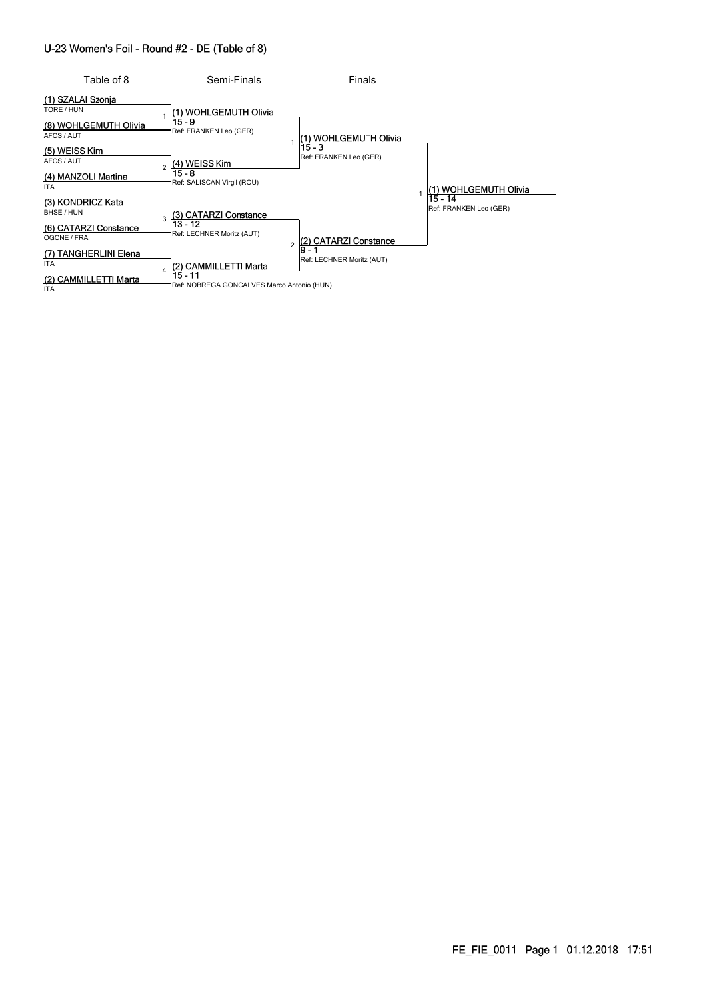#### U-23 Women's Foil - Round #2 - DE (Table of 8)

| Table of 8                                                                 | Semi-Finals                                                                                                                                                                   | Finals                              |                                   |
|----------------------------------------------------------------------------|-------------------------------------------------------------------------------------------------------------------------------------------------------------------------------|-------------------------------------|-----------------------------------|
| (1) SZALAI Szonja<br>TORE / HUN<br>(8) WOHLGEMUTH Olivia<br>AFCS / AUT     | (1) WOHLGEMUTH Olivia<br>$15 - 9$<br>Ref: FRANKEN Leo (GER)<br>(4) WEISS Kim<br>$\mathfrak{p}$<br>$15 - 8$<br>Ref: SALISCAN Virgil (ROU)                                      | (1) WOHLGEMUTH Olivia<br>15 - 3     |                                   |
| (5) WEISS Kim<br>AFCS / AUT<br>(4) MANZOLI Martina<br><b>ITA</b>           |                                                                                                                                                                               | Ref: FRANKEN Leo (GER)              | 1) WOHLGEMUTH Olivia              |
| (3) KONDRICZ Kata<br>BHSE / HUN<br>(6) CATARZI Constance<br>OGCNE / FRA    | (3) CATARZI Constance<br>3<br>13 - 12<br>Ref: LECHNER Moritz (AUT)<br>$\overline{2}$<br>(2) CAMMILLETTI Marta<br>Δ<br>$15 - 11$<br>Ref: NOBREGA GONCALVES Marco Antonio (HUN) | <b>CATARZI Constance</b>            | 15 - 14<br>Ref: FRANKEN Leo (GER) |
| (7) TANGHERLINI Elena<br><b>ITA</b><br>(2) CAMMILLETTI Marta<br><b>ITA</b> |                                                                                                                                                                               | l9 - 1<br>Ref: LECHNER Moritz (AUT) |                                   |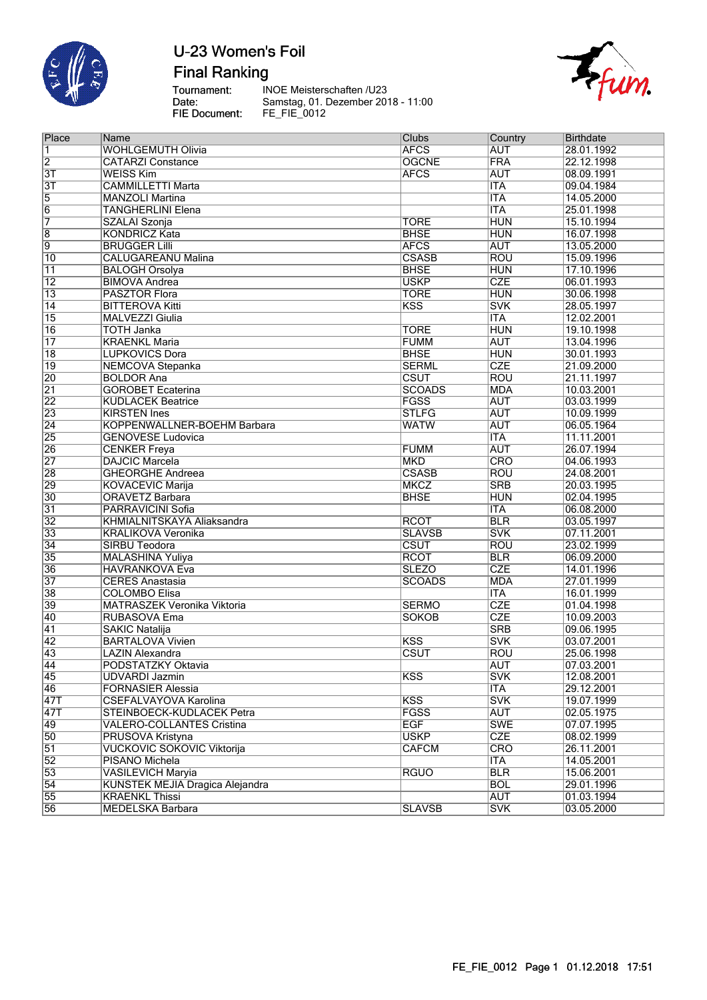

**Final Ranking** 

Tournament:<br>Date: FIE Document:

INOE Meisterschaften /U23 Samstag, 01. Dezember 2018 - 11:00<br>FE\_FIE\_0012



| Place            | Name                               | <b>Clubs</b>            | Country    | <b>Birthdate</b> |
|------------------|------------------------------------|-------------------------|------------|------------------|
| $\overline{1}$   | <b>WOHLGEMUTH Olivia</b>           | <b>AFCS</b>             | <b>AUT</b> | 28.01.1992       |
| $\overline{2}$   | <b>CATARZI Constance</b>           | <b>OGCNE</b>            | <b>FRA</b> | 22.12.1998       |
| $\overline{3T}$  | <b>WEISS Kim</b>                   | <b>AFCS</b>             | <b>AUT</b> | 08.09.1991       |
| $\overline{3T}$  | <b>CAMMILLETTI Marta</b>           |                         | <b>ITA</b> | 09.04.1984       |
| $\overline{5}$   | <b>MANZOLI Martina</b>             |                         | <b>ITA</b> | 14.05.2000       |
| $\overline{6}$   | <b>TANGHERLINI Elena</b>           |                         | <b>ITA</b> | 25.01.1998       |
| 7                | SZALAI Szonja                      | <b>TORE</b>             | <b>HUN</b> | 15.10.1994       |
| $\overline{8}$   | <b>KONDRICZ Kata</b>               | <b>BHSE</b>             | <b>HUN</b> | 16.07.1998       |
| $\overline{9}$   | <b>BRUGGER Lilli</b>               | <b>AFCS</b>             | <b>AUT</b> | 13.05.2000       |
| $\overline{10}$  | <b>CALUGAREANU Malina</b>          | <b>CSASB</b>            | <b>ROU</b> | 15.09.1996       |
| $\overline{11}$  | <b>BALOGH Orsolya</b>              | <b>BHSE</b>             | <b>HUN</b> | 17.10.1996       |
| $\overline{12}$  | <b>BIMOVA Andrea</b>               | <b>USKP</b>             | <b>CZE</b> | 06.01.1993       |
| $\overline{13}$  | <b>PASZTOR Flora</b>               | <b>TORE</b>             | <b>HUN</b> | 30.06.1998       |
| $\overline{14}$  | <b>BITTEROVA Kitti</b>             | $\overline{\text{KSS}}$ | <b>SVK</b> | 28.05.1997       |
| $\overline{15}$  | MALVEZZI Giulia                    |                         | <b>ITA</b> | 12.02.2001       |
| 16               | <b>TOTH Janka</b>                  | <b>TORE</b>             | <b>HUN</b> | 19.10.1998       |
| $\overline{17}$  | <b>KRAENKL Maria</b>               | <b>FUMM</b>             | <b>AUT</b> | 13.04.1996       |
| $\overline{18}$  | <b>LUPKOVICS Dora</b>              | <b>BHSE</b>             | <b>HUN</b> | 30.01.1993       |
|                  | <b>NEMCOVA Stepanka</b>            | <b>SERML</b>            | <b>CZE</b> | 21.09.2000       |
| $\overline{19}$  |                                    |                         |            |                  |
| $\overline{20}$  | <b>BOLDOR Ana</b>                  | <b>CSUT</b>             | <b>ROU</b> | 21.11.1997       |
| $\overline{21}$  | <b>GOROBET Ecaterina</b>           | <b>SCOADS</b>           | <b>MDA</b> | 10.03.2001       |
| $\overline{22}$  | <b>KUDLACEK Beatrice</b>           | <b>FGSS</b>             | <b>AUT</b> | 03.03.1999       |
| $\overline{23}$  | <b>KIRSTEN Ines</b>                | <b>STLFG</b>            | <b>AUT</b> | 10.09.1999       |
| $\overline{24}$  | KOPPENWALLNER-BOEHM Barbara        | <b>WATW</b>             | <b>AUT</b> | 06.05.1964       |
| 25               | <b>GENOVESE Ludovica</b>           |                         | <b>ITA</b> | 11.11.2001       |
| 26               | <b>CENKER Freya</b>                | <b>FUMM</b>             | <b>AUT</b> | 26.07.1994       |
| $\overline{27}$  | <b>DAJCIC Marcela</b>              | <b>MKD</b>              | <b>CRO</b> | 04.06.1993       |
| 28               | <b>GHEORGHE Andreea</b>            | <b>CSASB</b>            | <b>ROU</b> | 24.08.2001       |
| 29               | <b>KOVACEVIC Marija</b>            | <b>MKCZ</b>             | <b>SRB</b> | 20.03.1995       |
| $\overline{30}$  | <b>ORAVETZ Barbara</b>             | <b>BHSE</b>             | <b>HUN</b> | 02.04.1995       |
| $\overline{31}$  | PARRAVICINI Sofia                  |                         | <b>ITA</b> | 06.08.2000       |
| 32               | KHMIALNITSKAYA Aliaksandra         | <b>RCOT</b>             | <b>BLR</b> | 03.05.1997       |
| 33               | <b>KRALIKOVA Veronika</b>          | <b>SLAVSB</b>           | <b>SVK</b> | 07.11.2001       |
| $\overline{34}$  | <b>SIRBU Teodora</b>               | CSUT                    | <b>ROU</b> | 23.02.1999       |
| 35               | <b>MALASHINA Yuliya</b>            | <b>RCOT</b>             | <b>BLR</b> | 06.09.2000       |
| 36               | <b>HAVRANKOVA Eva</b>              | <b>SLEZO</b>            | <b>CZE</b> | 14.01.1996       |
| $\overline{37}$  | <b>CERES Anastasia</b>             | <b>SCOADS</b>           | <b>MDA</b> | 27.01.1999       |
| 38               | <b>COLOMBO Elisa</b>               |                         | <b>ITA</b> | 16.01.1999       |
| 39               | <b>MATRASZEK Veronika Viktoria</b> | <b>SERMO</b>            | <b>CZE</b> | 01.04.1998       |
| 40               | RUBASOVA Ema                       | <b>SOKOB</b>            | <b>CZE</b> | 10.09.2003       |
| $\overline{41}$  | <b>SAKIC Natalija</b>              |                         | <b>SRB</b> | 09.06.1995       |
| $\overline{42}$  | <b>BARTALOVA Vivien</b>            | <b>KSS</b>              | <b>SVK</b> | 03.07.2001       |
| 43               | <b>LAZIN Alexandra</b>             | CSUT                    | <b>ROU</b> | 25.06.1998       |
| $\overline{44}$  | PODSTATZKY Oktavia                 |                         | <b>AUT</b> | 07.03.2001       |
| $\sqrt{45}$      | UDVARDI Jazmin                     | <b>KSS</b>              | <b>SVK</b> | 12.08.2001       |
| $\overline{46}$  | <b>FORNASIER Alessia</b>           |                         | <b>ITA</b> | 29.12.2001       |
| $\overline{47T}$ | CSEFALVAYOVA Karolina              | KSS                     | <b>SVK</b> | 19.07.1999       |
| $\overline{47T}$ | STEINBOECK-KUDLACEK Petra          | <b>FGSS</b>             | <b>AUT</b> | 02.05.1975       |
| $\overline{49}$  | <b>VALERO-COLLANTES Cristina</b>   | <b>EGF</b>              | <b>SWE</b> | 07.07.1995       |
| 50               | PRUSOVA Kristyna                   | <b>USKP</b>             | <b>CZE</b> | 08.02.1999       |
| $\overline{51}$  | <b>VUCKOVIC SOKOVIC Viktorija</b>  | <b>CAFCM</b>            | <b>CRO</b> | 26.11.2001       |
| $\overline{52}$  | PISANO Michela                     |                         | <b>ITA</b> | 14.05.2001       |
| 53               | <b>VASILEVICH Maryia</b>           | <b>RGUO</b>             | <b>BLR</b> | 15.06.2001       |
| $\overline{54}$  | KUNSTEK MEJIA Dragica Alejandra    |                         | <b>BOL</b> | 29.01.1996       |
|                  |                                    |                         |            |                  |
| 55               | <b>KRAENKL Thissi</b>              |                         | <b>AUT</b> | 01.03.1994       |
| 56               | MEDELSKA Barbara                   | <b>SLAVSB</b>           | <b>SVK</b> | 03.05.2000       |